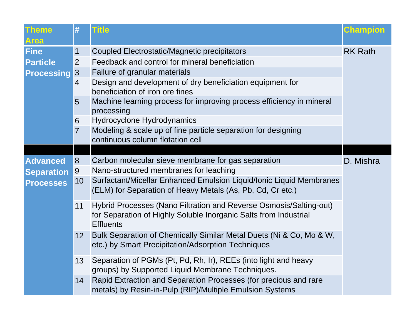| <b>Theme</b><br><b>Area</b>                  | #               | <b>Title</b>                                                                                                                                               | <b>Champion</b> |
|----------------------------------------------|-----------------|------------------------------------------------------------------------------------------------------------------------------------------------------------|-----------------|
| Fine<br><b>Particle</b><br><b>Processing</b> | 1               | Coupled Electrostatic/Magnetic precipitators                                                                                                               | <b>RK Rath</b>  |
|                                              | $\overline{2}$  | Feedback and control for mineral beneficiation                                                                                                             |                 |
|                                              | 3 <sup>2</sup>  | Failure of granular materials                                                                                                                              |                 |
|                                              | $\overline{4}$  | Design and development of dry beneficiation equipment for<br>beneficiation of iron ore fines                                                               |                 |
|                                              | 5               | Machine learning process for improving process efficiency in mineral<br>processing                                                                         |                 |
|                                              | 6               | Hydrocyclone Hydrodynamics                                                                                                                                 |                 |
|                                              | $\overline{7}$  | Modeling & scale up of fine particle separation for designing<br>continuous column flotation cell                                                          |                 |
|                                              |                 |                                                                                                                                                            |                 |
| <b>Advanced</b>                              | 8               | Carbon molecular sieve membrane for gas separation                                                                                                         | D. Mishra       |
| <b>Separation</b>                            | 9               | Nano-structured membranes for leaching                                                                                                                     |                 |
| <b>Processes</b>                             | 10              | Surfactant/Micellar Enhanced Emulsion Liquid/Ionic Liquid Membranes<br>(ELM) for Separation of Heavy Metals (As, Pb, Cd, Cr etc.)                          |                 |
|                                              | 11              | Hybrid Processes (Nano Filtration and Reverse Osmosis/Salting-out)<br>for Separation of Highly Soluble Inorganic Salts from Industrial<br><b>Effluents</b> |                 |
|                                              | 12 <sup>2</sup> | Bulk Separation of Chemically Similar Metal Duets (Ni & Co, Mo & W,<br>etc.) by Smart Precipitation/Adsorption Techniques                                  |                 |
|                                              | 13              | Separation of PGMs (Pt, Pd, Rh, Ir), REEs (into light and heavy<br>groups) by Supported Liquid Membrane Techniques.                                        |                 |
|                                              | 14              | Rapid Extraction and Separation Processes (for precious and rare<br>metals) by Resin-in-Pulp (RIP)/Multiple Emulsion Systems                               |                 |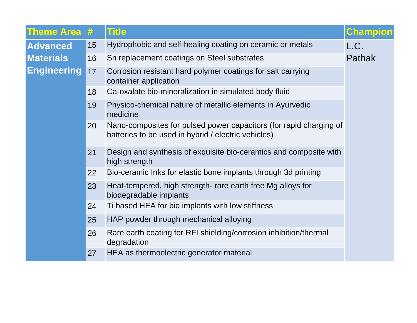| <b>Theme Area #</b>                    |    | <b>Title</b>                                                                                                              | <b>Champion</b> |
|----------------------------------------|----|---------------------------------------------------------------------------------------------------------------------------|-----------------|
| <b>Advanced</b>                        | 15 | Hydrophobic and self-healing coating on ceramic or metals                                                                 | L.C.            |
| <b>Materials</b><br><b>Engineering</b> | 16 | Sn replacement coatings on Steel substrates                                                                               | <b>Pathak</b>   |
|                                        | 17 | Corrosion resistant hard polymer coatings for salt carrying<br>container application                                      |                 |
|                                        | 18 | Ca-oxalate bio-mineralization in simulated body fluid                                                                     |                 |
|                                        | 19 | Physico-chemical nature of metallic elements in Ayurvedic<br>medicine                                                     |                 |
|                                        | 20 | Nano-composites for pulsed power capacitors (for rapid charging of<br>batteries to be used in hybrid / electric vehicles) |                 |
|                                        | 21 | Design and synthesis of exquisite bio-ceramics and composite with<br>high strength                                        |                 |
|                                        | 22 | Bio-ceramic Inks for elastic bone implants through 3d printing                                                            |                 |
|                                        | 23 | Heat-tempered, high strength- rare earth free Mg alloys for<br>biodegradable implants                                     |                 |
|                                        | 24 | Ti based HEA for bio implants with low stiffness                                                                          |                 |
|                                        | 25 | HAP powder through mechanical alloying                                                                                    |                 |
|                                        | 26 | Rare earth coating for RFI shielding/corrosion inhibition/thermal<br>degradation                                          |                 |
|                                        | 27 | HEA as thermoelectric generator material                                                                                  |                 |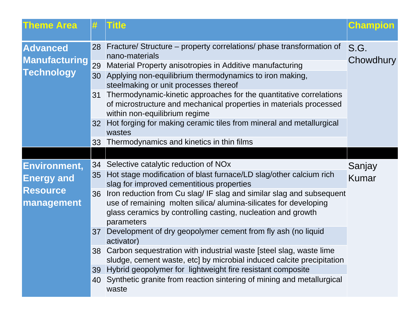| <b>Theme Area</b>                                                  | #                          | <b>Title</b>                                                                                                                                                                                                                                                                                                                                                                                                                                                                                                                                                                                                                                                                                                                                                           | <b>Champion</b>   |
|--------------------------------------------------------------------|----------------------------|------------------------------------------------------------------------------------------------------------------------------------------------------------------------------------------------------------------------------------------------------------------------------------------------------------------------------------------------------------------------------------------------------------------------------------------------------------------------------------------------------------------------------------------------------------------------------------------------------------------------------------------------------------------------------------------------------------------------------------------------------------------------|-------------------|
| <b>Advanced</b><br><b>Manufacturing</b><br><b>Technology</b>       | 28<br>29<br>30<br>31<br>32 | Fracture/ Structure – property correlations/ phase transformation of<br>nano-materials<br>Material Property anisotropies in Additive manufacturing<br>Applying non-equilibrium thermodynamics to iron making,<br>steelmaking or unit processes thereof<br>Thermodynamic-kinetic approaches for the quantitative correlations<br>of microstructure and mechanical properties in materials processed<br>within non-equilibrium regime<br>Hot forging for making ceramic tiles from mineral and metallurgical<br>wastes                                                                                                                                                                                                                                                   | S.G.<br>Chowdhury |
|                                                                    | 33                         | Thermodynamics and kinetics in thin films                                                                                                                                                                                                                                                                                                                                                                                                                                                                                                                                                                                                                                                                                                                              |                   |
| Environment,<br><b>Energy and</b><br><b>Resource</b><br>management | 36<br>37<br>39<br>40       | 34 Selective catalytic reduction of NOx<br>35 Hot stage modification of blast furnace/LD slag/other calcium rich<br>slag for improved cementitious properties<br>Iron reduction from Cu slag/IF slag and similar slag and subsequent<br>use of remaining molten silica/ alumina-silicates for developing<br>glass ceramics by controlling casting, nucleation and growth<br>parameters<br>Development of dry geopolymer cement from fly ash (no liquid<br>activator)<br>38 Carbon sequestration with industrial waste [steel slag, waste lime<br>sludge, cement waste, etc] by microbial induced calcite precipitation<br>Hybrid geopolymer for lightweight fire resistant composite<br>Synthetic granite from reaction sintering of mining and metallurgical<br>waste | Sanjay<br>Kumar   |